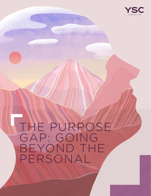

## THE PURPOSE GAP: GOING BEYOND THE PERSONAL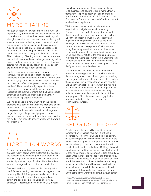# MORE THAN ME

For over a decade, the invitation to find your 'why,' as popularised by Simon Sinek, has inspired many leaders to step back and consider their values, passions, and strengths to define their personal purpose. Starting with why can provide a motivating reason to come to work and an anchor to focus leadership decisions around. A compelling purpose statement enables leaders to be authentic in connecting their vision to their values and to then be able to clearly articulate this to others. This consistency of leading with purpose helps leaders inspire their people and unlock change. Meaning incites deeper levels of commitment from others, as it assigns greater value to day-to-day activity and helps quench the innate human desire for significance.

But too often purpose is developed with an individualistic lens and a one-directional focus. Most leadership purpose statements are 'what I want to offer' others, e.g., my purpose is to "inspire people to be the best they can be" or to "empower creative thinking in others". These are all worthy impact intentions and at one time would have felt unique. However, leadership has evolved. Bringing out the best in people, empowering others and encouraging creativity in today's world is just good leadership.

We find ourselves in a new era in which the world's problems have become organizations' problems, and an organization's problems naturally fall on their leaders to help resolve. In a world of tumultuous change and mega challenges, the personal purpose of senior leaders cannot be contained to 'what do I want to offer the world' – but needs to answer, 'what does the world need from me?'

## MORE THAN WORDS

At worst, an organizational purpose is a branding exercise. A lofty statement to customers that positions the company to be something more than profit driven. However, organizations find themselves under greater scrutiny by a wider range of stakeholders these days. Words on a page without proof points don't stick.

Some values-based organizations led the way in the late 90s by connecting their values to a bigger purpose in society. The shift from predominantly shareholderdriven, and therefore profit-driven organizations, to thinking about positive impact on customers, employees, suppliers, and communities. Only in recent

years has there been an intensifying expectation of all businesses to operate within a more altruistic framework. Helping to codify this sentiment shift was Business Roundtable's 2019 'Statement on the Purpose of a Corporation'1, which defined the concept of stakeholder capitalism.

We have seen the pandemic accelerate these organizational zeitgeists across interested groups. Employees are looking to their organizations and their leaders to use their power and position to have a positive impact in the world. Many sectors and regions are finding themselves in a strong labor market, where individuals can demand more of their current or prospective employers. Customers want to buy from companies that care about their impact in the world  $-$  on people, the planet and increasingly on political issues. Astute to the changing currents, investors are putting their money in organizations that are reinventing themselves to meet these moving stakeholder expectations. The massive growth across the 'green economy' epitomises this.

This broader set of stakeholder expectations are propelling many organizations to step back, identify their enduring reason to exist and figure out how they can 'do good' in the world. In other words, to crystalise the company's unique reason for being and how this has a positive impact on society. Whilst it is inspiring to see many enterprises developing an organizational purpose statement, those sentiments are rarely reflected in senior leaderships' articulation of their own purposes. There is an overlooked gap that we now need to bridge between personal and organizational purpose.

### BRIDGING THE GAP

So where does the possibility lie within personal purpose? Senior leaders have both a gift and a responsibility to use the influence their roles bestow for collective good. By all means they should take the time to think through what is important to them – their morals, values, passions, and drivers – as this will enable them to lead from the heart. But they shouldn't stop there. The world needs leaders to make the most of their roles. There is an imperative to look around and notice what changes are needed within their sectors, countries, and industries. With so much going on in the world, this exercise could feel entirely overwhelming and/or impossible. It would be easier to retreat to a personal purpose which feels much more achievable. Thinking about the possibility of purpose is not an ask to solve all the world's problems. However, senior

<sup>1</sup> https://www.businessroundtable.org/businessroundtable-redefines-the-purpose-of-a-corporation-topromote-an-economy-that-serves-all-americans